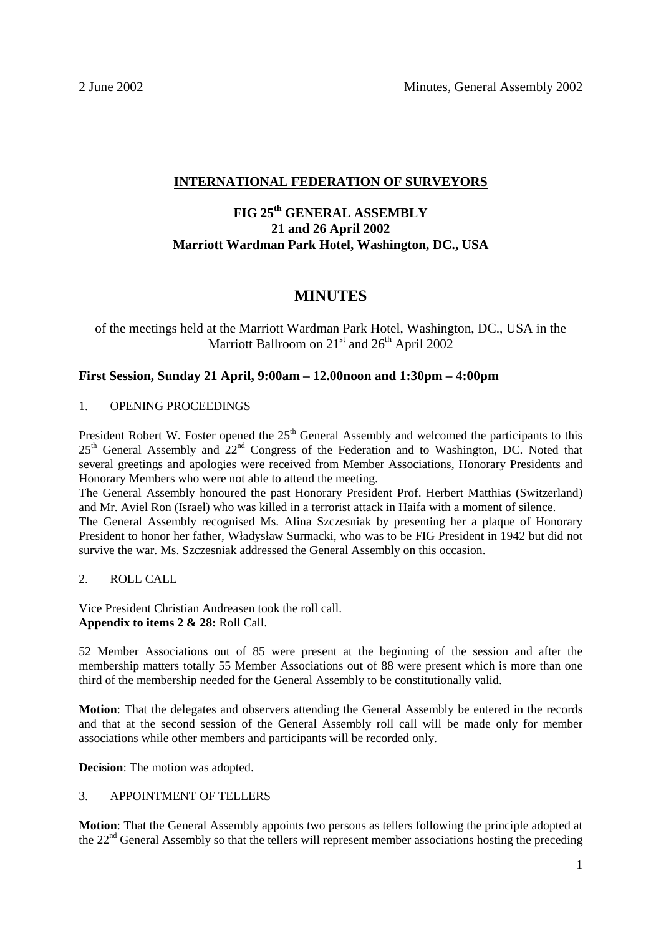# **INTERNATIONAL FEDERATION OF SURVEYORS**

# **FIG 25th GENERAL ASSEMBLY 21 and 26 April 2002 Marriott Wardman Park Hotel, Washington, DC., USA**

# **MINUTES**

# of the meetings held at the Marriott Wardman Park Hotel, Washington, DC., USA in the Marriott Ballroom on 21<sup>st</sup> and 26<sup>th</sup> April 2002

# **First Session, Sunday 21 April, 9:00am – 12.00noon and 1:30pm – 4:00pm**

# 1. OPENING PROCEEDINGS

President Robert W. Foster opened the 25<sup>th</sup> General Assembly and welcomed the participants to this  $25<sup>th</sup>$  General Assembly and  $22<sup>nd</sup>$  Congress of the Federation and to Washington, DC. Noted that several greetings and apologies were received from Member Associations, Honorary Presidents and Honorary Members who were not able to attend the meeting.

The General Assembly honoured the past Honorary President Prof. Herbert Matthias (Switzerland) and Mr. Aviel Ron (Israel) who was killed in a terrorist attack in Haifa with a moment of silence.

The General Assembly recognised Ms. Alina Szczesniak by presenting her a plaque of Honorary President to honor her father, Władysław Surmacki, who was to be FIG President in 1942 but did not survive the war. Ms. Szczesniak addressed the General Assembly on this occasion.

# 2. ROLL CALL

Vice President Christian Andreasen took the roll call. **Appendix to items 2 & 28:** Roll Call.

52 Member Associations out of 85 were present at the beginning of the session and after the membership matters totally 55 Member Associations out of 88 were present which is more than one third of the membership needed for the General Assembly to be constitutionally valid.

**Motion**: That the delegates and observers attending the General Assembly be entered in the records and that at the second session of the General Assembly roll call will be made only for member associations while other members and participants will be recorded only.

**Decision**: The motion was adopted.

# 3. APPOINTMENT OF TELLERS

**Motion**: That the General Assembly appoints two persons as tellers following the principle adopted at the  $22<sup>nd</sup>$  General Assembly so that the tellers will represent member associations hosting the preceding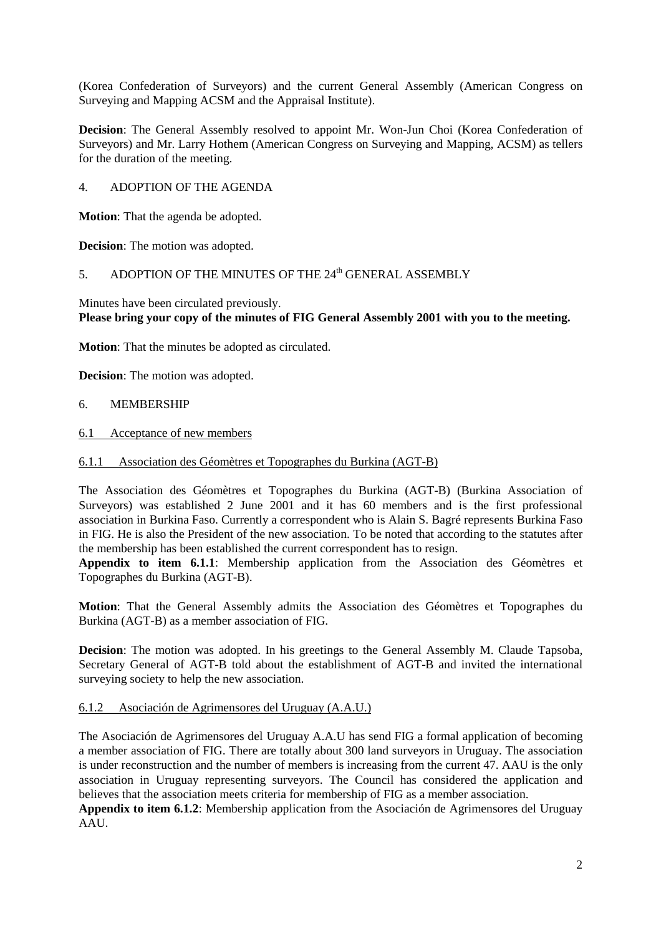(Korea Confederation of Surveyors) and the current General Assembly (American Congress on Surveying and Mapping ACSM and the Appraisal Institute).

**Decision**: The General Assembly resolved to appoint Mr. Won-Jun Choi (Korea Confederation of Surveyors) and Mr. Larry Hothem (American Congress on Surveying and Mapping, ACSM) as tellers for the duration of the meeting.

4. ADOPTION OF THE AGENDA

**Motion**: That the agenda be adopted.

**Decision**: The motion was adopted.

# 5. ADOPTION OF THE MINUTES OF THE 24<sup>th</sup> GENERAL ASSEMBLY

Minutes have been circulated previously. **Please bring your copy of the minutes of FIG General Assembly 2001 with you to the meeting.** 

**Motion**: That the minutes be adopted as circulated.

**Decision**: The motion was adopted.

- 6. MEMBERSHIP
- 6.1 Acceptance of new members
- 6.1.1 Association des Géomètres et Topographes du Burkina (AGT-B)

The Association des Géomètres et Topographes du Burkina (AGT-B) (Burkina Association of Surveyors) was established 2 June 2001 and it has 60 members and is the first professional association in Burkina Faso. Currently a correspondent who is Alain S. Bagré represents Burkina Faso in FIG. He is also the President of the new association. To be noted that according to the statutes after the membership has been established the current correspondent has to resign.

**Appendix to item 6.1.1**: Membership application from the Association des Géomètres et Topographes du Burkina (AGT-B).

**Motion**: That the General Assembly admits the Association des Géomètres et Topographes du Burkina (AGT-B) as a member association of FIG.

**Decision**: The motion was adopted. In his greetings to the General Assembly M. Claude Tapsoba, Secretary General of AGT-B told about the establishment of AGT-B and invited the international surveying society to help the new association.

# 6.1.2 Asociación de Agrimensores del Uruguay (A.A.U.)

The Asociación de Agrimensores del Uruguay A.A.U has send FIG a formal application of becoming a member association of FIG. There are totally about 300 land surveyors in Uruguay. The association is under reconstruction and the number of members is increasing from the current 47. AAU is the only association in Uruguay representing surveyors. The Council has considered the application and believes that the association meets criteria for membership of FIG as a member association.

**Appendix to item 6.1.2**: Membership application from the Asociación de Agrimensores del Uruguay AAU.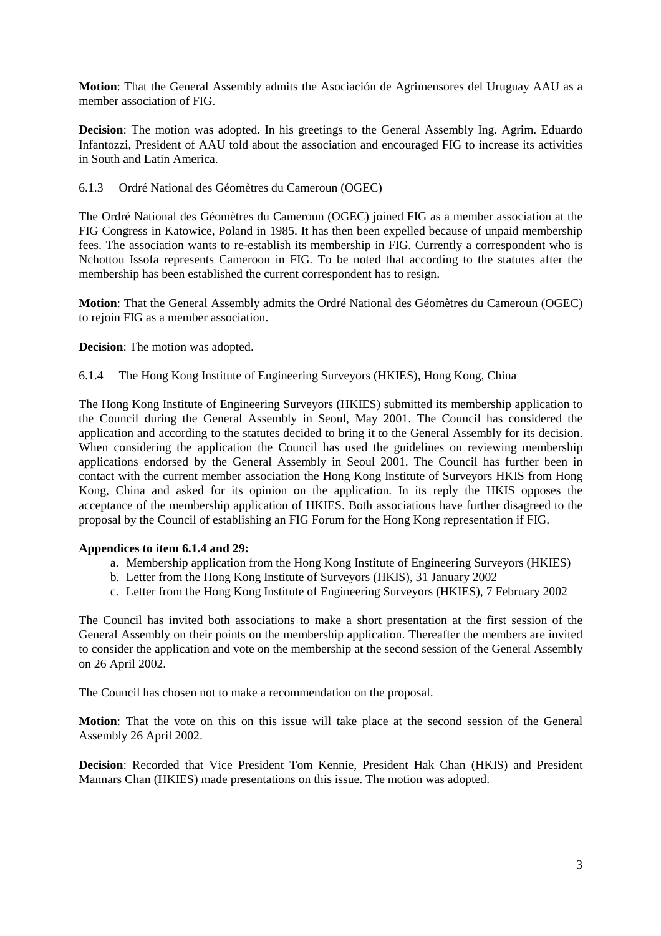**Motion**: That the General Assembly admits the Asociación de Agrimensores del Uruguay AAU as a member association of FIG.

**Decision**: The motion was adopted. In his greetings to the General Assembly Ing. Agrim. Eduardo Infantozzi, President of AAU told about the association and encouraged FIG to increase its activities in South and Latin America.

# 6.1.3 Ordré National des Géomètres du Cameroun (OGEC)

The Ordré National des Géomètres du Cameroun (OGEC) joined FIG as a member association at the FIG Congress in Katowice, Poland in 1985. It has then been expelled because of unpaid membership fees. The association wants to re-establish its membership in FIG. Currently a correspondent who is Nchottou Issofa represents Cameroon in FIG. To be noted that according to the statutes after the membership has been established the current correspondent has to resign.

**Motion**: That the General Assembly admits the Ordré National des Géomètres du Cameroun (OGEC) to rejoin FIG as a member association.

# **Decision**: The motion was adopted.

# 6.1.4 The Hong Kong Institute of Engineering Surveyors (HKIES), Hong Kong, China

The Hong Kong Institute of Engineering Surveyors (HKIES) submitted its membership application to the Council during the General Assembly in Seoul, May 2001. The Council has considered the application and according to the statutes decided to bring it to the General Assembly for its decision. When considering the application the Council has used the guidelines on reviewing membership applications endorsed by the General Assembly in Seoul 2001. The Council has further been in contact with the current member association the Hong Kong Institute of Surveyors HKIS from Hong Kong, China and asked for its opinion on the application. In its reply the HKIS opposes the acceptance of the membership application of HKIES. Both associations have further disagreed to the proposal by the Council of establishing an FIG Forum for the Hong Kong representation if FIG.

# **Appendices to item 6.1.4 and 29:**

- a. Membership application from the Hong Kong Institute of Engineering Surveyors (HKIES)
- b. Letter from the Hong Kong Institute of Surveyors (HKIS), 31 January 2002
- c. Letter from the Hong Kong Institute of Engineering Surveyors (HKIES), 7 February 2002

The Council has invited both associations to make a short presentation at the first session of the General Assembly on their points on the membership application. Thereafter the members are invited to consider the application and vote on the membership at the second session of the General Assembly on 26 April 2002.

The Council has chosen not to make a recommendation on the proposal.

**Motion**: That the vote on this on this issue will take place at the second session of the General Assembly 26 April 2002.

**Decision**: Recorded that Vice President Tom Kennie, President Hak Chan (HKIS) and President Mannars Chan (HKIES) made presentations on this issue. The motion was adopted.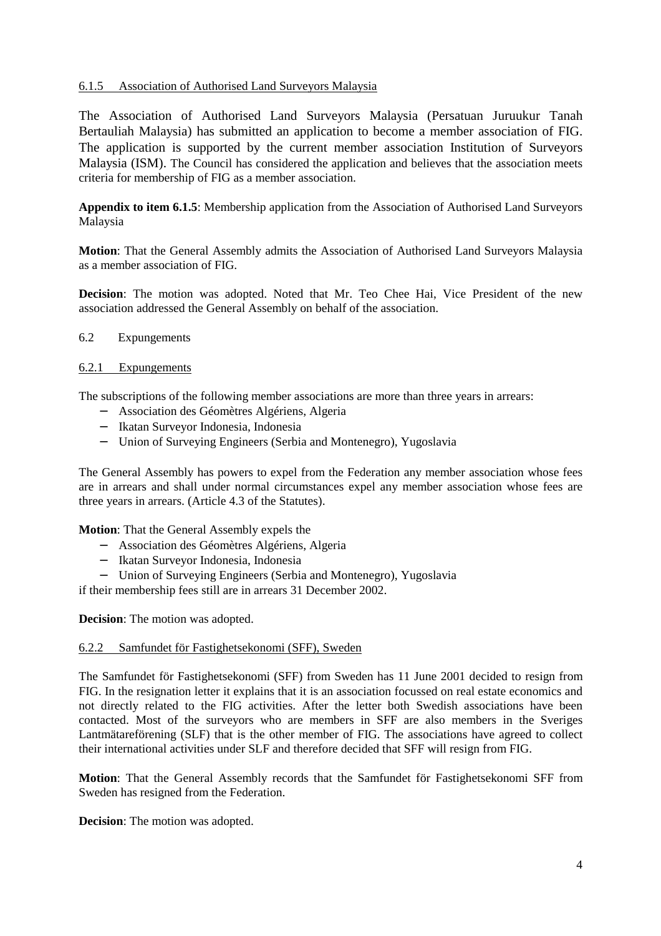# 6.1.5 Association of Authorised Land Surveyors Malaysia

The Association of Authorised Land Surveyors Malaysia (Persatuan Juruukur Tanah Bertauliah Malaysia) has submitted an application to become a member association of FIG. The application is supported by the current member association Institution of Surveyors Malaysia (ISM). The Council has considered the application and believes that the association meets criteria for membership of FIG as a member association.

**Appendix to item 6.1.5**: Membership application from the Association of Authorised Land Surveyors Malaysia

**Motion**: That the General Assembly admits the Association of Authorised Land Surveyors Malaysia as a member association of FIG.

**Decision**: The motion was adopted. Noted that Mr. Teo Chee Hai, Vice President of the new association addressed the General Assembly on behalf of the association.

# 6.2 Expungements

# 6.2.1 Expungements

The subscriptions of the following member associations are more than three years in arrears:

- − Association des Géomètres Algériens, Algeria
- − Ikatan Surveyor Indonesia, Indonesia
- − Union of Surveying Engineers (Serbia and Montenegro), Yugoslavia

The General Assembly has powers to expel from the Federation any member association whose fees are in arrears and shall under normal circumstances expel any member association whose fees are three years in arrears. (Article 4.3 of the Statutes).

**Motion**: That the General Assembly expels the

- − Association des Géomètres Algériens, Algeria
- − Ikatan Surveyor Indonesia, Indonesia
- − Union of Surveying Engineers (Serbia and Montenegro), Yugoslavia

if their membership fees still are in arrears 31 December 2002.

**Decision**: The motion was adopted.

# 6.2.2 Samfundet för Fastighetsekonomi (SFF), Sweden

The Samfundet för Fastighetsekonomi (SFF) from Sweden has 11 June 2001 decided to resign from FIG. In the resignation letter it explains that it is an association focussed on real estate economics and not directly related to the FIG activities. After the letter both Swedish associations have been contacted. Most of the surveyors who are members in SFF are also members in the Sveriges Lantmätareförening (SLF) that is the other member of FIG. The associations have agreed to collect their international activities under SLF and therefore decided that SFF will resign from FIG.

**Motion**: That the General Assembly records that the Samfundet för Fastighetsekonomi SFF from Sweden has resigned from the Federation.

**Decision**: The motion was adopted.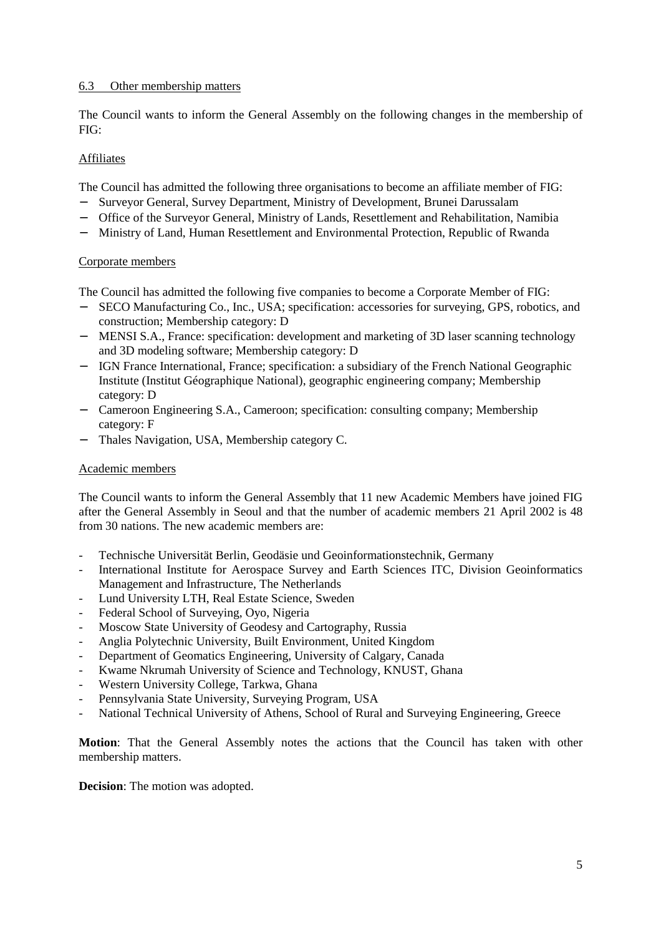# 6.3 Other membership matters

The Council wants to inform the General Assembly on the following changes in the membership of FIG:

# Affiliates

The Council has admitted the following three organisations to become an affiliate member of FIG:

- Surveyor General, Survey Department, Ministry of Development, Brunei Darussalam
- − Office of the Surveyor General, Ministry of Lands, Resettlement and Rehabilitation, Namibia
- − Ministry of Land, Human Resettlement and Environmental Protection, Republic of Rwanda

# Corporate members

The Council has admitted the following five companies to become a Corporate Member of FIG:

- − SECO Manufacturing Co., Inc., USA; specification: accessories for surveying, GPS, robotics, and construction; Membership category: D
- − MENSI S.A., France: specification: development and marketing of 3D laser scanning technology and 3D modeling software; Membership category: D
- − IGN France International, France; specification: a subsidiary of the French National Geographic Institute (Institut Géographique National), geographic engineering company; Membership category: D
- − Cameroon Engineering S.A., Cameroon; specification: consulting company; Membership category: F
- − Thales Navigation, USA, Membership category C.

# Academic members

The Council wants to inform the General Assembly that 11 new Academic Members have joined FIG after the General Assembly in Seoul and that the number of academic members 21 April 2002 is 48 from 30 nations. The new academic members are:

- Technische Universität Berlin, Geodäsie und Geoinformationstechnik, Germany
- International Institute for Aerospace Survey and Earth Sciences ITC, Division Geoinformatics Management and Infrastructure, The Netherlands
- Lund University LTH, Real Estate Science, Sweden
- Federal School of Surveying, Oyo, Nigeria
- Moscow State University of Geodesy and Cartography, Russia
- Anglia Polytechnic University, Built Environment, United Kingdom
- Department of Geomatics Engineering, University of Calgary, Canada
- Kwame Nkrumah University of Science and Technology, KNUST, Ghana
- Western University College, Tarkwa, Ghana
- Pennsylvania State University, Surveying Program, USA
- National Technical University of Athens, School of Rural and Surveying Engineering, Greece

**Motion**: That the General Assembly notes the actions that the Council has taken with other membership matters.

**Decision**: The motion was adopted.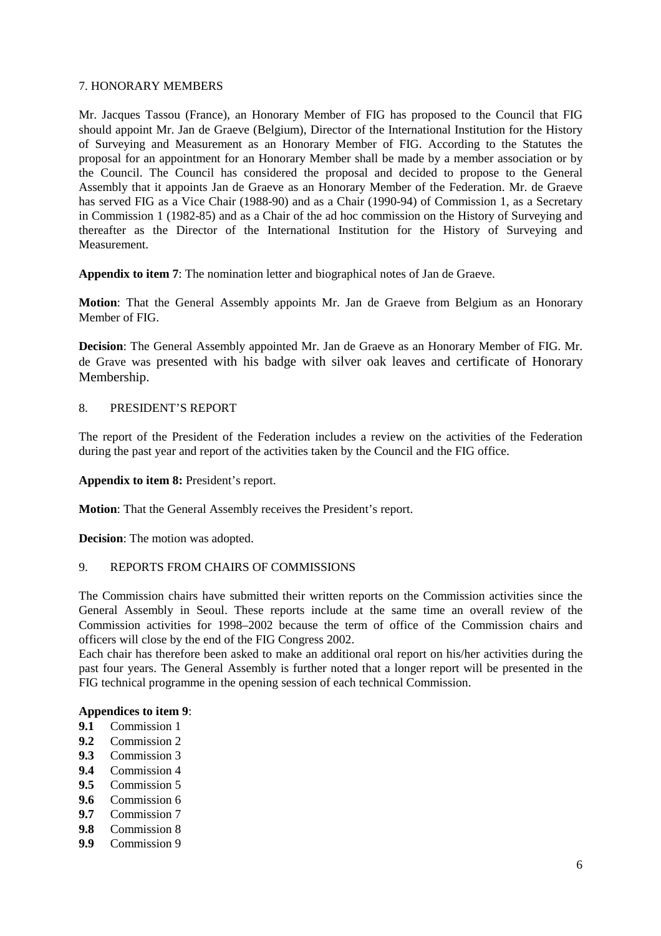# 7. HONORARY MEMBERS

Mr. Jacques Tassou (France), an Honorary Member of FIG has proposed to the Council that FIG should appoint Mr. Jan de Graeve (Belgium), Director of the International Institution for the History of Surveying and Measurement as an Honorary Member of FIG. According to the Statutes the proposal for an appointment for an Honorary Member shall be made by a member association or by the Council. The Council has considered the proposal and decided to propose to the General Assembly that it appoints Jan de Graeve as an Honorary Member of the Federation. Mr. de Graeve has served FIG as a Vice Chair (1988-90) and as a Chair (1990-94) of Commission 1, as a Secretary in Commission 1 (1982-85) and as a Chair of the ad hoc commission on the History of Surveying and thereafter as the Director of the International Institution for the History of Surveying and Measurement.

**Appendix to item 7**: The nomination letter and biographical notes of Jan de Graeve.

**Motion**: That the General Assembly appoints Mr. Jan de Graeve from Belgium as an Honorary Member of FIG.

**Decision**: The General Assembly appointed Mr. Jan de Graeve as an Honorary Member of FIG. Mr. de Grave was presented with his badge with silver oak leaves and certificate of Honorary Membership.

# 8. PRESIDENT'S REPORT

The report of the President of the Federation includes a review on the activities of the Federation during the past year and report of the activities taken by the Council and the FIG office.

**Appendix to item 8:** President's report.

**Motion**: That the General Assembly receives the President's report.

**Decision**: The motion was adopted.

# 9. REPORTS FROM CHAIRS OF COMMISSIONS

The Commission chairs have submitted their written reports on the Commission activities since the General Assembly in Seoul. These reports include at the same time an overall review of the Commission activities for 1998–2002 because the term of office of the Commission chairs and officers will close by the end of the FIG Congress 2002.

Each chair has therefore been asked to make an additional oral report on his/her activities during the past four years. The General Assembly is further noted that a longer report will be presented in the FIG technical programme in the opening session of each technical Commission.

# **Appendices to item 9**:

- **9.1** Commission 1
- **9.2** Commission 2
- **9.3** Commission 3
- **9.4** Commission 4
- **9.5** Commission 5
- **9.6** Commission 6
- **9.7** Commission 7
- **9.8** Commission 8
- **9.9** Commission 9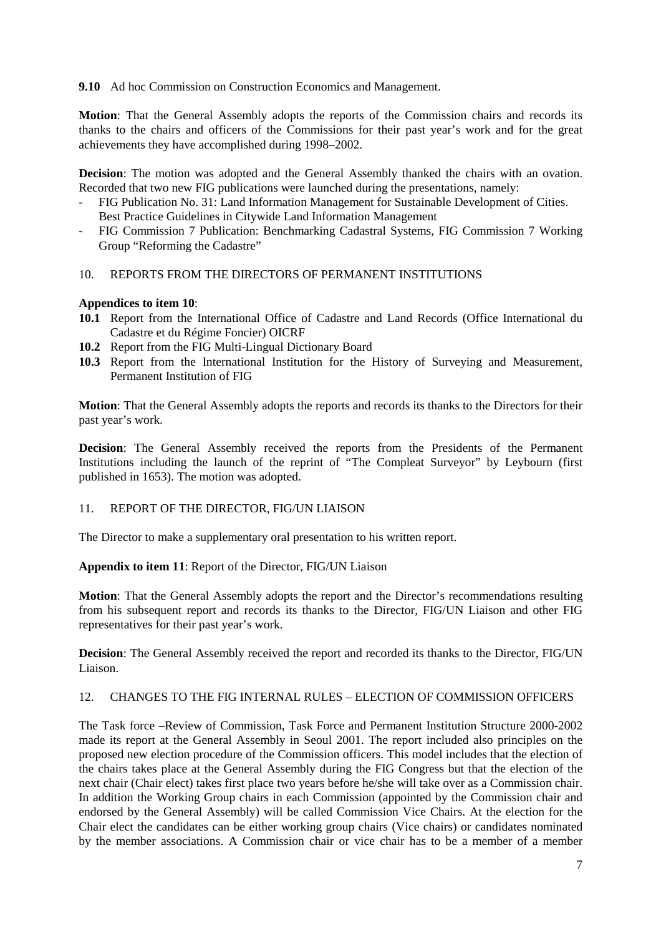# **9.10** Ad hoc Commission on Construction Economics and Management.

**Motion**: That the General Assembly adopts the reports of the Commission chairs and records its thanks to the chairs and officers of the Commissions for their past year's work and for the great achievements they have accomplished during 1998–2002.

**Decision**: The motion was adopted and the General Assembly thanked the chairs with an ovation. Recorded that two new FIG publications were launched during the presentations, namely:

- FIG Publication No. 31: Land Information Management for Sustainable Development of Cities. Best Practice Guidelines in Citywide Land Information Management
- FIG Commission 7 Publication: Benchmarking Cadastral Systems, FIG Commission 7 Working Group "Reforming the Cadastre"

# 10. REPORTS FROM THE DIRECTORS OF PERMANENT INSTITUTIONS

# **Appendices to item 10**:

- **10.1** Report from the International Office of Cadastre and Land Records (Office International du Cadastre et du Régime Foncier) OICRF
- **10.2** Report from the FIG Multi-Lingual Dictionary Board
- **10.3** Report from the International Institution for the History of Surveying and Measurement, Permanent Institution of FIG

**Motion**: That the General Assembly adopts the reports and records its thanks to the Directors for their past year's work.

**Decision**: The General Assembly received the reports from the Presidents of the Permanent Institutions including the launch of the reprint of "The Compleat Surveyor" by Leybourn (first published in 1653). The motion was adopted.

# 11. REPORT OF THE DIRECTOR, FIG/UN LIAISON

The Director to make a supplementary oral presentation to his written report.

**Appendix to item 11**: Report of the Director, FIG/UN Liaison

**Motion**: That the General Assembly adopts the report and the Director's recommendations resulting from his subsequent report and records its thanks to the Director, FIG/UN Liaison and other FIG representatives for their past year's work.

**Decision**: The General Assembly received the report and recorded its thanks to the Director, FIG/UN Liaison.

# 12. CHANGES TO THE FIG INTERNAL RULES – ELECTION OF COMMISSION OFFICERS

The Task force –Review of Commission, Task Force and Permanent Institution Structure 2000-2002 made its report at the General Assembly in Seoul 2001. The report included also principles on the proposed new election procedure of the Commission officers. This model includes that the election of the chairs takes place at the General Assembly during the FIG Congress but that the election of the next chair (Chair elect) takes first place two years before he/she will take over as a Commission chair. In addition the Working Group chairs in each Commission (appointed by the Commission chair and endorsed by the General Assembly) will be called Commission Vice Chairs. At the election for the Chair elect the candidates can be either working group chairs (Vice chairs) or candidates nominated by the member associations. A Commission chair or vice chair has to be a member of a member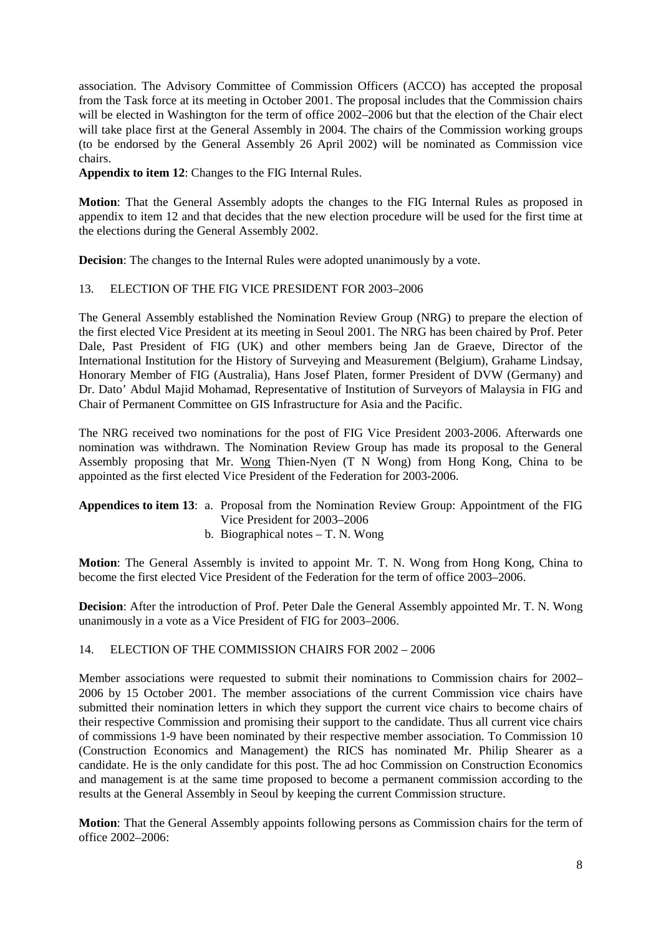association. The Advisory Committee of Commission Officers (ACCO) has accepted the proposal from the Task force at its meeting in October 2001. The proposal includes that the Commission chairs will be elected in Washington for the term of office 2002–2006 but that the election of the Chair elect will take place first at the General Assembly in 2004. The chairs of the Commission working groups (to be endorsed by the General Assembly 26 April 2002) will be nominated as Commission vice chairs.

**Appendix to item 12**: Changes to the FIG Internal Rules.

**Motion**: That the General Assembly adopts the changes to the FIG Internal Rules as proposed in appendix to item 12 and that decides that the new election procedure will be used for the first time at the elections during the General Assembly 2002.

**Decision**: The changes to the Internal Rules were adopted unanimously by a vote.

# 13. ELECTION OF THE FIG VICE PRESIDENT FOR 2003–2006

The General Assembly established the Nomination Review Group (NRG) to prepare the election of the first elected Vice President at its meeting in Seoul 2001. The NRG has been chaired by Prof. Peter Dale, Past President of FIG (UK) and other members being Jan de Graeve, Director of the International Institution for the History of Surveying and Measurement (Belgium), Grahame Lindsay, Honorary Member of FIG (Australia), Hans Josef Platen, former President of DVW (Germany) and Dr. Dato' Abdul Majid Mohamad, Representative of Institution of Surveyors of Malaysia in FIG and Chair of Permanent Committee on GIS Infrastructure for Asia and the Pacific.

The NRG received two nominations for the post of FIG Vice President 2003-2006. Afterwards one nomination was withdrawn. The Nomination Review Group has made its proposal to the General Assembly proposing that Mr. Wong Thien-Nyen (T N Wong) from Hong Kong, China to be appointed as the first elected Vice President of the Federation for 2003-2006.

# **Appendices to item 13**: a. Proposal from the Nomination Review Group: Appointment of the FIG Vice President for 2003–2006

b. Biographical notes – T. N. Wong

**Motion**: The General Assembly is invited to appoint Mr. T. N. Wong from Hong Kong, China to become the first elected Vice President of the Federation for the term of office 2003–2006.

**Decision**: After the introduction of Prof. Peter Dale the General Assembly appointed Mr. T. N. Wong unanimously in a vote as a Vice President of FIG for 2003–2006.

# 14. ELECTION OF THE COMMISSION CHAIRS FOR 2002 – 2006

Member associations were requested to submit their nominations to Commission chairs for 2002– 2006 by 15 October 2001. The member associations of the current Commission vice chairs have submitted their nomination letters in which they support the current vice chairs to become chairs of their respective Commission and promising their support to the candidate. Thus all current vice chairs of commissions 1-9 have been nominated by their respective member association. To Commission 10 (Construction Economics and Management) the RICS has nominated Mr. Philip Shearer as a candidate. He is the only candidate for this post. The ad hoc Commission on Construction Economics and management is at the same time proposed to become a permanent commission according to the results at the General Assembly in Seoul by keeping the current Commission structure.

**Motion**: That the General Assembly appoints following persons as Commission chairs for the term of office 2002–2006: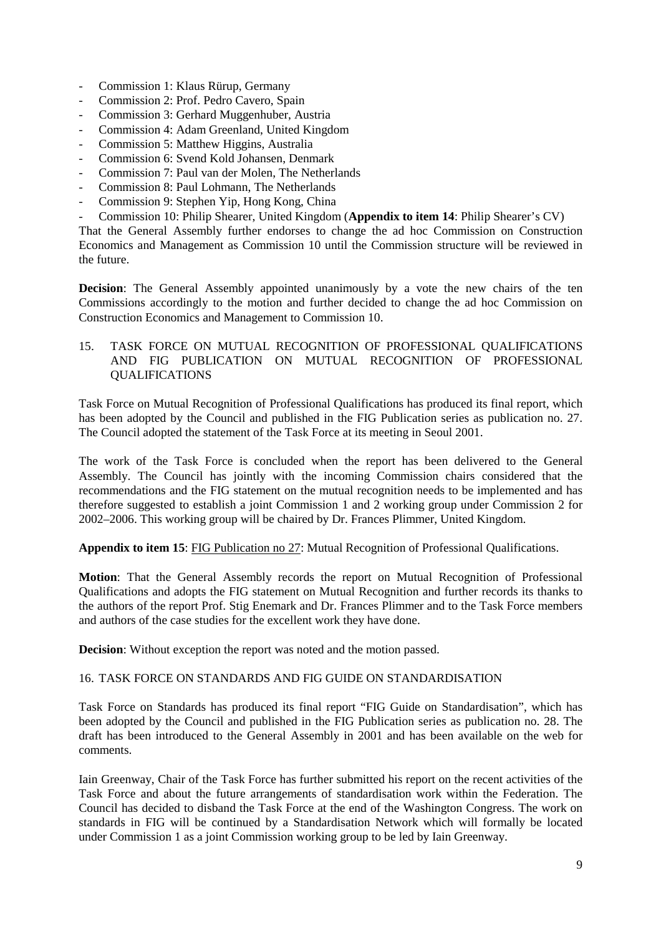- Commission 1: Klaus Rürup, Germany
- Commission 2: Prof. Pedro Cavero, Spain
- Commission 3: Gerhard Muggenhuber, Austria
- Commission 4: Adam Greenland, United Kingdom
- Commission 5: Matthew Higgins, Australia
- Commission 6: Svend Kold Johansen, Denmark
- Commission 7: Paul van der Molen, The Netherlands
- Commission 8: Paul Lohmann, The Netherlands
- Commission 9: Stephen Yip, Hong Kong, China
- Commission 10: Philip Shearer, United Kingdom (**Appendix to item 14**: Philip Shearer's CV)

That the General Assembly further endorses to change the ad hoc Commission on Construction Economics and Management as Commission 10 until the Commission structure will be reviewed in the future.

**Decision**: The General Assembly appointed unanimously by a vote the new chairs of the ten Commissions accordingly to the motion and further decided to change the ad hoc Commission on Construction Economics and Management to Commission 10.

# 15. TASK FORCE ON MUTUAL RECOGNITION OF PROFESSIONAL QUALIFICATIONS AND FIG PUBLICATION ON MUTUAL RECOGNITION OF PROFESSIONAL QUALIFICATIONS

Task Force on Mutual Recognition of Professional Qualifications has produced its final report, which has been adopted by the Council and published in the FIG Publication series as publication no. 27. The Council adopted the statement of the Task Force at its meeting in Seoul 2001.

The work of the Task Force is concluded when the report has been delivered to the General Assembly. The Council has jointly with the incoming Commission chairs considered that the recommendations and the FIG statement on the mutual recognition needs to be implemented and has therefore suggested to establish a joint Commission 1 and 2 working group under Commission 2 for 2002–2006. This working group will be chaired by Dr. Frances Plimmer, United Kingdom.

**Appendix to item 15**: FIG Publication no 27: Mutual Recognition of Professional Qualifications.

**Motion**: That the General Assembly records the report on Mutual Recognition of Professional Qualifications and adopts the FIG statement on Mutual Recognition and further records its thanks to the authors of the report Prof. Stig Enemark and Dr. Frances Plimmer and to the Task Force members and authors of the case studies for the excellent work they have done.

**Decision**: Without exception the report was noted and the motion passed.

# 16. TASK FORCE ON STANDARDS AND FIG GUIDE ON STANDARDISATION

Task Force on Standards has produced its final report "FIG Guide on Standardisation", which has been adopted by the Council and published in the FIG Publication series as publication no. 28. The draft has been introduced to the General Assembly in 2001 and has been available on the web for comments.

Iain Greenway, Chair of the Task Force has further submitted his report on the recent activities of the Task Force and about the future arrangements of standardisation work within the Federation. The Council has decided to disband the Task Force at the end of the Washington Congress. The work on standards in FIG will be continued by a Standardisation Network which will formally be located under Commission 1 as a joint Commission working group to be led by Iain Greenway.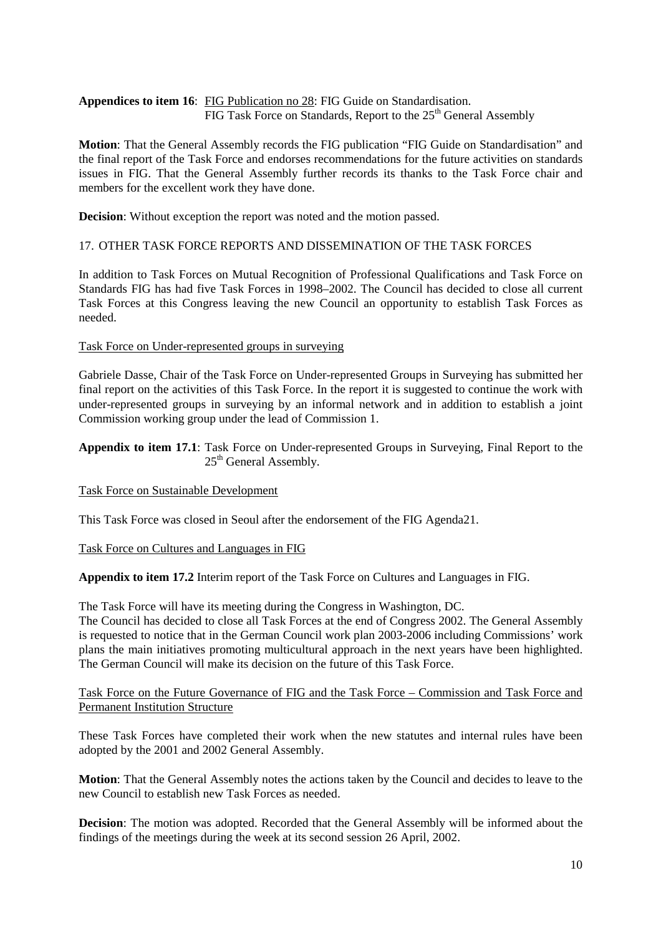**Appendices to item 16**: FIG Publication no 28: FIG Guide on Standardisation. FIG Task Force on Standards, Report to the  $25<sup>th</sup>$  General Assembly

**Motion**: That the General Assembly records the FIG publication "FIG Guide on Standardisation" and the final report of the Task Force and endorses recommendations for the future activities on standards issues in FIG. That the General Assembly further records its thanks to the Task Force chair and members for the excellent work they have done.

**Decision**: Without exception the report was noted and the motion passed.

# 17. OTHER TASK FORCE REPORTS AND DISSEMINATION OF THE TASK FORCES

In addition to Task Forces on Mutual Recognition of Professional Qualifications and Task Force on Standards FIG has had five Task Forces in 1998–2002. The Council has decided to close all current Task Forces at this Congress leaving the new Council an opportunity to establish Task Forces as needed.

#### Task Force on Under-represented groups in surveying

Gabriele Dasse, Chair of the Task Force on Under-represented Groups in Surveying has submitted her final report on the activities of this Task Force. In the report it is suggested to continue the work with under-represented groups in surveying by an informal network and in addition to establish a joint Commission working group under the lead of Commission 1.

**Appendix to item 17.1**: Task Force on Under-represented Groups in Surveying, Final Report to the 25<sup>th</sup> General Assembly.

# Task Force on Sustainable Development

This Task Force was closed in Seoul after the endorsement of the FIG Agenda21.

#### Task Force on Cultures and Languages in FIG

**Appendix to item 17.2** Interim report of the Task Force on Cultures and Languages in FIG.

The Task Force will have its meeting during the Congress in Washington, DC. The Council has decided to close all Task Forces at the end of Congress 2002. The General Assembly is requested to notice that in the German Council work plan 2003-2006 including Commissions' work plans the main initiatives promoting multicultural approach in the next years have been highlighted. The German Council will make its decision on the future of this Task Force.

# Task Force on the Future Governance of FIG and the Task Force – Commission and Task Force and Permanent Institution Structure

These Task Forces have completed their work when the new statutes and internal rules have been adopted by the 2001 and 2002 General Assembly.

**Motion**: That the General Assembly notes the actions taken by the Council and decides to leave to the new Council to establish new Task Forces as needed.

**Decision**: The motion was adopted. Recorded that the General Assembly will be informed about the findings of the meetings during the week at its second session 26 April, 2002.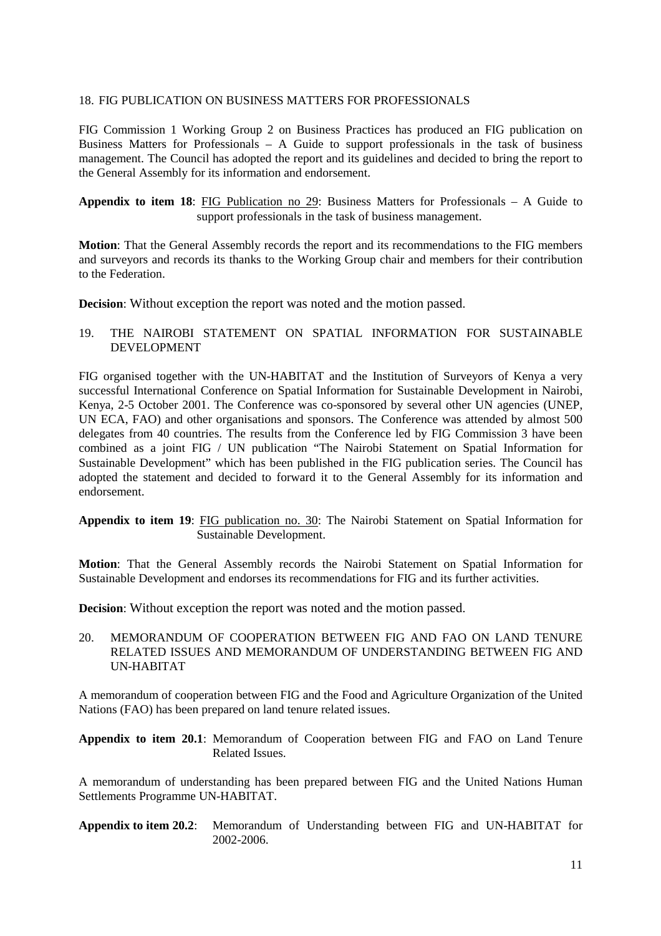# 18. FIG PUBLICATION ON BUSINESS MATTERS FOR PROFESSIONALS

FIG Commission 1 Working Group 2 on Business Practices has produced an FIG publication on Business Matters for Professionals – A Guide to support professionals in the task of business management. The Council has adopted the report and its guidelines and decided to bring the report to the General Assembly for its information and endorsement.

**Appendix to item 18**: FIG Publication no 29: Business Matters for Professionals – A Guide to support professionals in the task of business management.

**Motion**: That the General Assembly records the report and its recommendations to the FIG members and surveyors and records its thanks to the Working Group chair and members for their contribution to the Federation.

**Decision**: Without exception the report was noted and the motion passed.

19. THE NAIROBI STATEMENT ON SPATIAL INFORMATION FOR SUSTAINABLE DEVELOPMENT

FIG organised together with the UN-HABITAT and the Institution of Surveyors of Kenya a very successful International Conference on Spatial Information for Sustainable Development in Nairobi, Kenya, 2-5 October 2001. The Conference was co-sponsored by several other UN agencies (UNEP, UN ECA, FAO) and other organisations and sponsors. The Conference was attended by almost 500 delegates from 40 countries. The results from the Conference led by FIG Commission 3 have been combined as a joint FIG / UN publication "The Nairobi Statement on Spatial Information for Sustainable Development" which has been published in the FIG publication series. The Council has adopted the statement and decided to forward it to the General Assembly for its information and endorsement.

**Appendix to item 19**: FIG publication no. 30: The Nairobi Statement on Spatial Information for Sustainable Development.

**Motion**: That the General Assembly records the Nairobi Statement on Spatial Information for Sustainable Development and endorses its recommendations for FIG and its further activities.

**Decision**: Without exception the report was noted and the motion passed.

# 20. MEMORANDUM OF COOPERATION BETWEEN FIG AND FAO ON LAND TENURE RELATED ISSUES AND MEMORANDUM OF UNDERSTANDING BETWEEN FIG AND UN-HABITAT

A memorandum of cooperation between FIG and the Food and Agriculture Organization of the United Nations (FAO) has been prepared on land tenure related issues.

**Appendix to item 20.1**: Memorandum of Cooperation between FIG and FAO on Land Tenure Related Issues.

A memorandum of understanding has been prepared between FIG and the United Nations Human Settlements Programme UN-HABITAT.

**Appendix to item 20.2**: Memorandum of Understanding between FIG and UN-HABITAT for 2002-2006.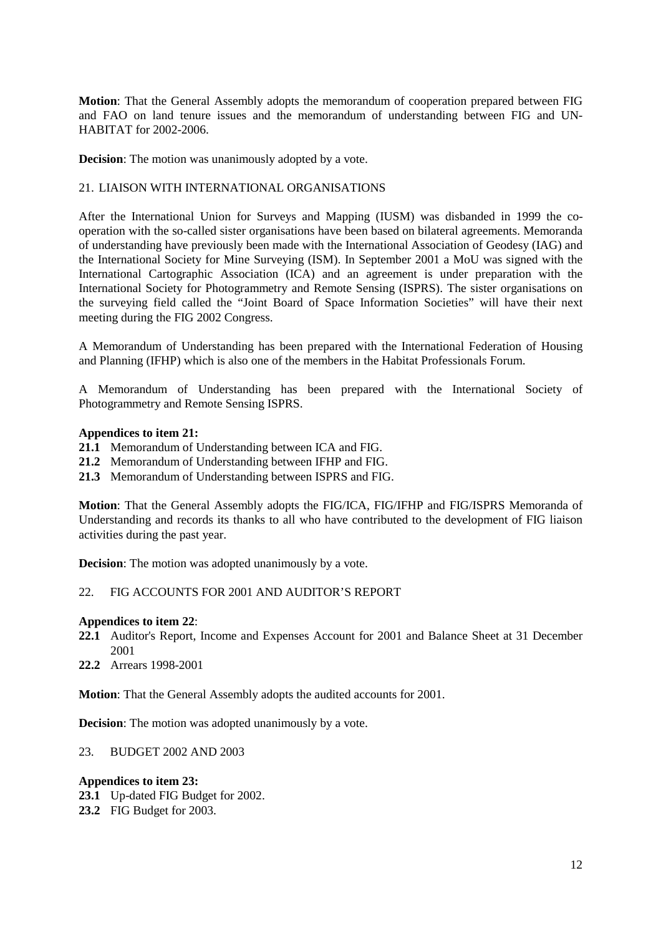**Motion**: That the General Assembly adopts the memorandum of cooperation prepared between FIG and FAO on land tenure issues and the memorandum of understanding between FIG and UN-HABITAT for 2002-2006.

**Decision**: The motion was unanimously adopted by a vote.

# 21. LIAISON WITH INTERNATIONAL ORGANISATIONS

After the International Union for Surveys and Mapping (IUSM) was disbanded in 1999 the cooperation with the so-called sister organisations have been based on bilateral agreements. Memoranda of understanding have previously been made with the International Association of Geodesy (IAG) and the International Society for Mine Surveying (ISM). In September 2001 a MoU was signed with the International Cartographic Association (ICA) and an agreement is under preparation with the International Society for Photogrammetry and Remote Sensing (ISPRS). The sister organisations on the surveying field called the "Joint Board of Space Information Societies" will have their next meeting during the FIG 2002 Congress.

A Memorandum of Understanding has been prepared with the International Federation of Housing and Planning (IFHP) which is also one of the members in the Habitat Professionals Forum.

A Memorandum of Understanding has been prepared with the International Society of Photogrammetry and Remote Sensing ISPRS.

# **Appendices to item 21:**

- **21.1** Memorandum of Understanding between ICA and FIG.
- **21.2** Memorandum of Understanding between IFHP and FIG.
- **21.3** Memorandum of Understanding between ISPRS and FIG.

**Motion**: That the General Assembly adopts the FIG/ICA, FIG/IFHP and FIG/ISPRS Memoranda of Understanding and records its thanks to all who have contributed to the development of FIG liaison activities during the past year.

**Decision**: The motion was adopted unanimously by a vote.

# 22. FIG ACCOUNTS FOR 2001 AND AUDITOR'S REPORT

# **Appendices to item 22**:

- **22.1** Auditor's Report, Income and Expenses Account for 2001 and Balance Sheet at 31 December 2001
- **22.2** Arrears 1998-2001

**Motion**: That the General Assembly adopts the audited accounts for 2001.

**Decision**: The motion was adopted unanimously by a vote.

23. BUDGET 2002 AND 2003

# **Appendices to item 23:**

- **23.1** Up-dated FIG Budget for 2002.
- **23.2** FIG Budget for 2003.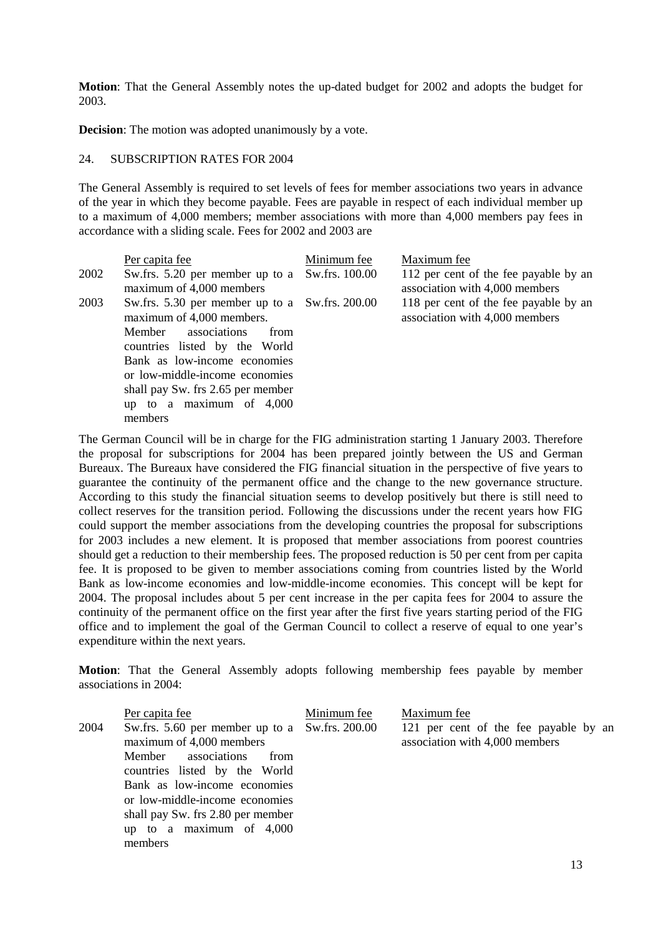**Motion**: That the General Assembly notes the up-dated budget for 2002 and adopts the budget for 2003.

**Decision**: The motion was adopted unanimously by a vote.

#### 24. SUBSCRIPTION RATES FOR 2004

The General Assembly is required to set levels of fees for member associations two years in advance of the year in which they become payable. Fees are payable in respect of each individual member up to a maximum of 4,000 members; member associations with more than 4,000 members pay fees in accordance with a sliding scale. Fees for 2002 and 2003 are

|      | Per capita fee                                                                                                                                                                 | Minimum fee | Maximum fee                                                             |
|------|--------------------------------------------------------------------------------------------------------------------------------------------------------------------------------|-------------|-------------------------------------------------------------------------|
| 2002 | Sw.frs. 5.20 per member up to a Sw.frs. 100.00<br>maximum of 4,000 members                                                                                                     |             | 112 per cent of the fee payable by an<br>association with 4,000 members |
| 2003 | Sw.frs. 5.30 per member up to a Sw.frs. 200.00<br>maximum of 4,000 members.<br>associations<br>Member<br>from<br>countries listed by the World<br>Bank as low-income economies |             | 118 per cent of the fee payable by an<br>association with 4,000 members |
|      | or low-middle-income economies<br>shall pay Sw. frs 2.65 per member<br>up to a maximum of $4,000$<br>members                                                                   |             |                                                                         |

The German Council will be in charge for the FIG administration starting 1 January 2003. Therefore the proposal for subscriptions for 2004 has been prepared jointly between the US and German Bureaux. The Bureaux have considered the FIG financial situation in the perspective of five years to guarantee the continuity of the permanent office and the change to the new governance structure. According to this study the financial situation seems to develop positively but there is still need to collect reserves for the transition period. Following the discussions under the recent years how FIG could support the member associations from the developing countries the proposal for subscriptions for 2003 includes a new element. It is proposed that member associations from poorest countries should get a reduction to their membership fees. The proposed reduction is 50 per cent from per capita fee. It is proposed to be given to member associations coming from countries listed by the World Bank as low-income economies and low-middle-income economies. This concept will be kept for 2004. The proposal includes about 5 per cent increase in the per capita fees for 2004 to assure the continuity of the permanent office on the first year after the first five years starting period of the FIG office and to implement the goal of the German Council to collect a reserve of equal to one year's expenditure within the next years.

**Motion**: That the General Assembly adopts following membership fees payable by member associations in 2004:

|      | Per capita fee                                                                                                                                                                                                                                                                             | Minimum fee | Maximum fee                                                             |
|------|--------------------------------------------------------------------------------------------------------------------------------------------------------------------------------------------------------------------------------------------------------------------------------------------|-------------|-------------------------------------------------------------------------|
| 2004 | Sw.frs. 5.60 per member up to a Sw.frs. 200.00<br>maximum of 4,000 members<br>Member associations<br>from<br>countries listed by the World<br>Bank as low-income economies<br>or low-middle-income economies<br>shall pay Sw. frs 2.80 per member<br>up to a maximum of $4,000$<br>members |             | 121 per cent of the fee payable by an<br>association with 4,000 members |
|      |                                                                                                                                                                                                                                                                                            |             |                                                                         |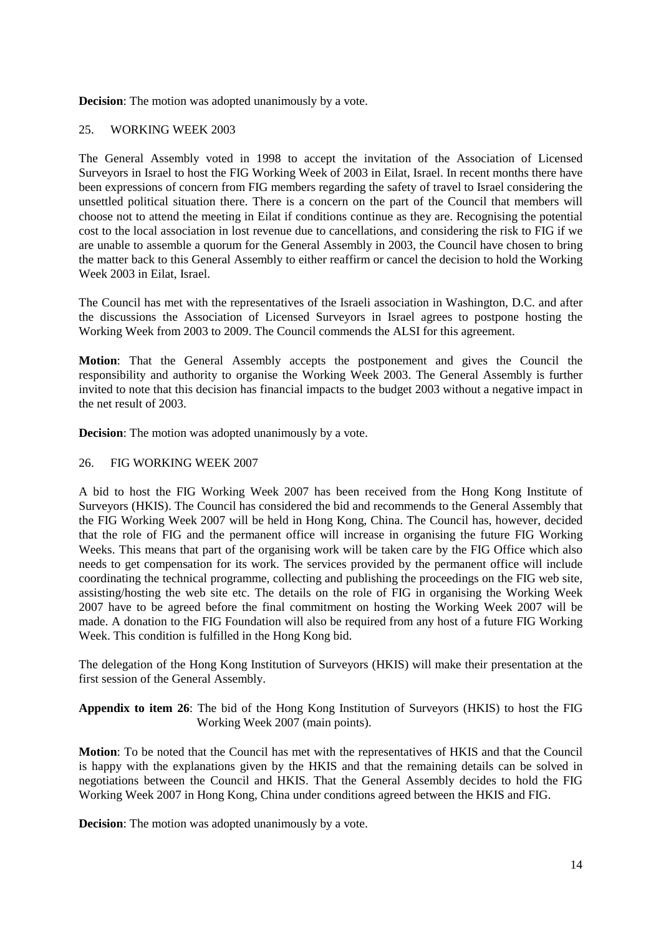**Decision**: The motion was adopted unanimously by a vote.

# 25. WORKING WEEK 2003

The General Assembly voted in 1998 to accept the invitation of the Association of Licensed Surveyors in Israel to host the FIG Working Week of 2003 in Eilat, Israel. In recent months there have been expressions of concern from FIG members regarding the safety of travel to Israel considering the unsettled political situation there. There is a concern on the part of the Council that members will choose not to attend the meeting in Eilat if conditions continue as they are. Recognising the potential cost to the local association in lost revenue due to cancellations, and considering the risk to FIG if we are unable to assemble a quorum for the General Assembly in 2003, the Council have chosen to bring the matter back to this General Assembly to either reaffirm or cancel the decision to hold the Working Week 2003 in Eilat, Israel.

The Council has met with the representatives of the Israeli association in Washington, D.C. and after the discussions the Association of Licensed Surveyors in Israel agrees to postpone hosting the Working Week from 2003 to 2009. The Council commends the ALSI for this agreement.

**Motion**: That the General Assembly accepts the postponement and gives the Council the responsibility and authority to organise the Working Week 2003. The General Assembly is further invited to note that this decision has financial impacts to the budget 2003 without a negative impact in the net result of 2003.

**Decision**: The motion was adopted unanimously by a vote.

# 26. FIG WORKING WEEK 2007

A bid to host the FIG Working Week 2007 has been received from the Hong Kong Institute of Surveyors (HKIS). The Council has considered the bid and recommends to the General Assembly that the FIG Working Week 2007 will be held in Hong Kong, China. The Council has, however, decided that the role of FIG and the permanent office will increase in organising the future FIG Working Weeks. This means that part of the organising work will be taken care by the FIG Office which also needs to get compensation for its work. The services provided by the permanent office will include coordinating the technical programme, collecting and publishing the proceedings on the FIG web site, assisting/hosting the web site etc. The details on the role of FIG in organising the Working Week 2007 have to be agreed before the final commitment on hosting the Working Week 2007 will be made. A donation to the FIG Foundation will also be required from any host of a future FIG Working Week. This condition is fulfilled in the Hong Kong bid.

The delegation of the Hong Kong Institution of Surveyors (HKIS) will make their presentation at the first session of the General Assembly.

**Appendix to item 26**: The bid of the Hong Kong Institution of Surveyors (HKIS) to host the FIG Working Week 2007 (main points).

**Motion**: To be noted that the Council has met with the representatives of HKIS and that the Council is happy with the explanations given by the HKIS and that the remaining details can be solved in negotiations between the Council and HKIS. That the General Assembly decides to hold the FIG Working Week 2007 in Hong Kong, China under conditions agreed between the HKIS and FIG.

**Decision**: The motion was adopted unanimously by a vote.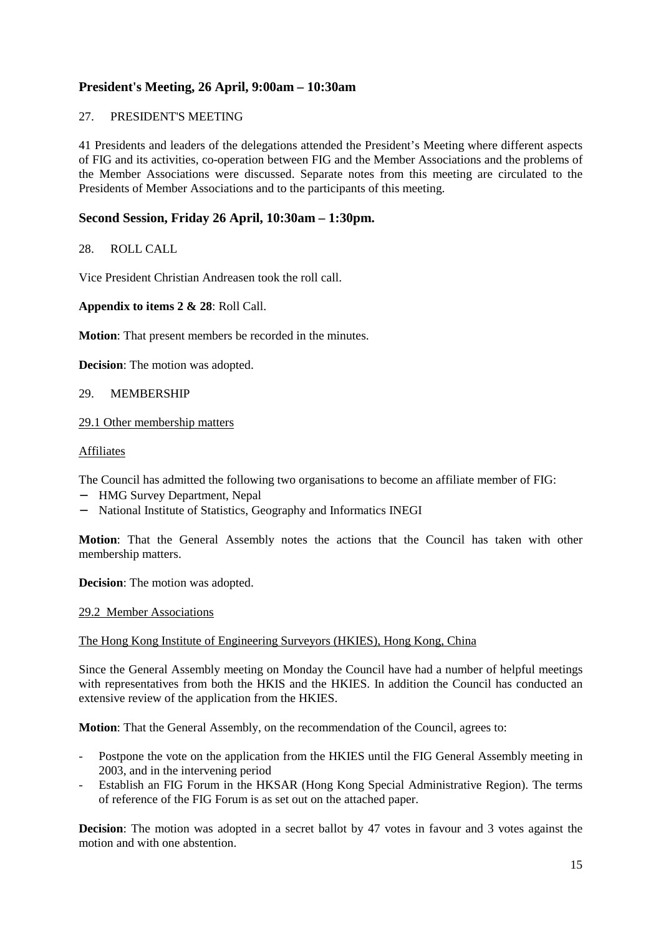# **President's Meeting, 26 April, 9:00am – 10:30am**

# 27. PRESIDENT'S MEETING

41 Presidents and leaders of the delegations attended the President's Meeting where different aspects of FIG and its activities, co-operation between FIG and the Member Associations and the problems of the Member Associations were discussed. Separate notes from this meeting are circulated to the Presidents of Member Associations and to the participants of this meeting.

# **Second Session, Friday 26 April, 10:30am – 1:30pm.**

# 28. ROLL CALL

Vice President Christian Andreasen took the roll call.

# **Appendix to items 2 & 28**: Roll Call.

**Motion**: That present members be recorded in the minutes.

**Decision**: The motion was adopted.

# 29. MEMBERSHIP

# 29.1 Other membership matters

Affiliates

The Council has admitted the following two organisations to become an affiliate member of FIG:

- − HMG Survey Department, Nepal
- − National Institute of Statistics, Geography and Informatics INEGI

**Motion**: That the General Assembly notes the actions that the Council has taken with other membership matters.

**Decision**: The motion was adopted.

# 29.2 Member Associations

# The Hong Kong Institute of Engineering Surveyors (HKIES), Hong Kong, China

Since the General Assembly meeting on Monday the Council have had a number of helpful meetings with representatives from both the HKIS and the HKIES. In addition the Council has conducted an extensive review of the application from the HKIES.

**Motion**: That the General Assembly, on the recommendation of the Council, agrees to:

- Postpone the vote on the application from the HKIES until the FIG General Assembly meeting in 2003, and in the intervening period
- Establish an FIG Forum in the HKSAR (Hong Kong Special Administrative Region). The terms of reference of the FIG Forum is as set out on the attached paper.

**Decision**: The motion was adopted in a secret ballot by 47 votes in favour and 3 votes against the motion and with one abstention.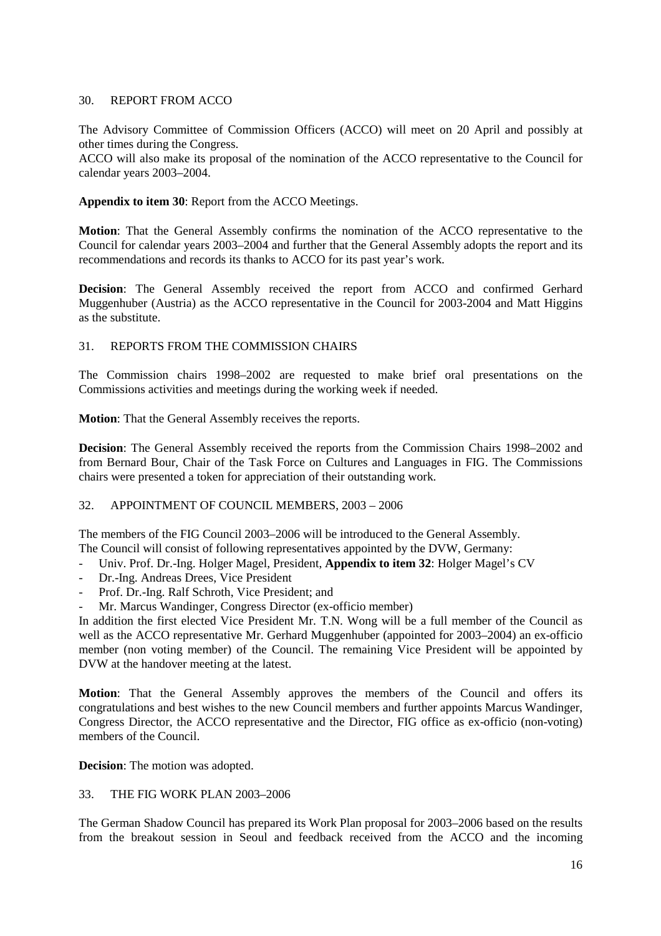# 30. REPORT FROM ACCO

The Advisory Committee of Commission Officers (ACCO) will meet on 20 April and possibly at other times during the Congress.

ACCO will also make its proposal of the nomination of the ACCO representative to the Council for calendar years 2003–2004.

# **Appendix to item 30**: Report from the ACCO Meetings.

**Motion**: That the General Assembly confirms the nomination of the ACCO representative to the Council for calendar years 2003–2004 and further that the General Assembly adopts the report and its recommendations and records its thanks to ACCO for its past year's work.

**Decision**: The General Assembly received the report from ACCO and confirmed Gerhard Muggenhuber (Austria) as the ACCO representative in the Council for 2003-2004 and Matt Higgins as the substitute.

# 31. REPORTS FROM THE COMMISSION CHAIRS

The Commission chairs 1998–2002 are requested to make brief oral presentations on the Commissions activities and meetings during the working week if needed.

**Motion**: That the General Assembly receives the reports.

**Decision**: The General Assembly received the reports from the Commission Chairs 1998–2002 and from Bernard Bour, Chair of the Task Force on Cultures and Languages in FIG. The Commissions chairs were presented a token for appreciation of their outstanding work.

# 32. APPOINTMENT OF COUNCIL MEMBERS, 2003 – 2006

The members of the FIG Council 2003–2006 will be introduced to the General Assembly. The Council will consist of following representatives appointed by the DVW, Germany:

- Univ. Prof. Dr.-Ing. Holger Magel, President, **Appendix to item 32**: Holger Magel's CV
- Dr.-Ing. Andreas Drees, Vice President
- Prof. Dr.-Ing. Ralf Schroth, Vice President; and
- Mr. Marcus Wandinger, Congress Director (ex-officio member)

In addition the first elected Vice President Mr. T.N. Wong will be a full member of the Council as well as the ACCO representative Mr. Gerhard Muggenhuber (appointed for 2003–2004) an ex-officio member (non voting member) of the Council. The remaining Vice President will be appointed by DVW at the handover meeting at the latest.

**Motion**: That the General Assembly approves the members of the Council and offers its congratulations and best wishes to the new Council members and further appoints Marcus Wandinger, Congress Director, the ACCO representative and the Director, FIG office as ex-officio (non-voting) members of the Council.

**Decision**: The motion was adopted.

# 33. THE FIG WORK PLAN 2003–2006

The German Shadow Council has prepared its Work Plan proposal for 2003–2006 based on the results from the breakout session in Seoul and feedback received from the ACCO and the incoming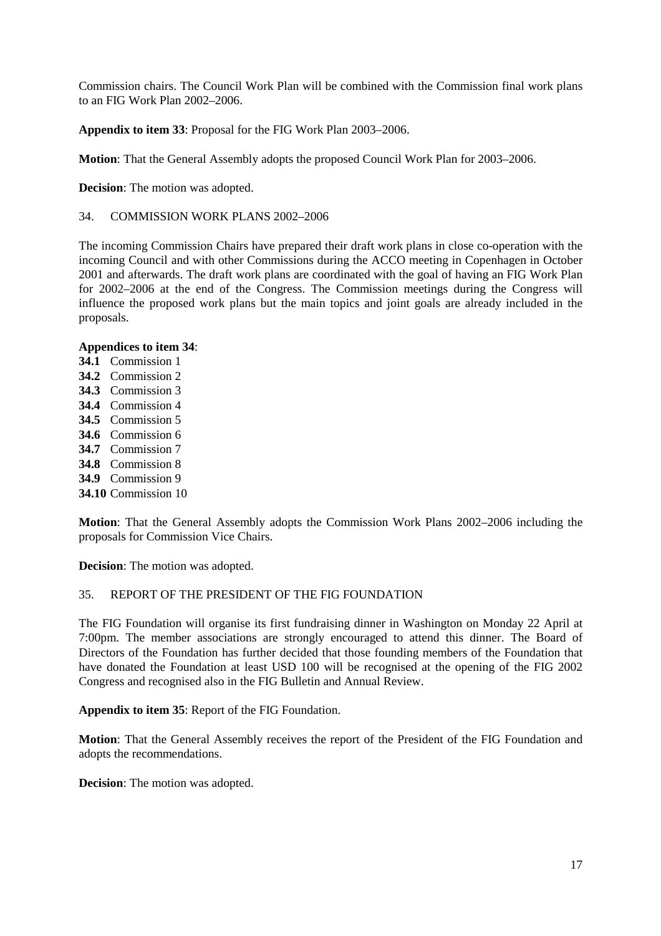Commission chairs. The Council Work Plan will be combined with the Commission final work plans to an FIG Work Plan 2002–2006.

**Appendix to item 33**: Proposal for the FIG Work Plan 2003–2006.

**Motion**: That the General Assembly adopts the proposed Council Work Plan for 2003–2006.

**Decision**: The motion was adopted.

34. COMMISSION WORK PLANS 2002–2006

The incoming Commission Chairs have prepared their draft work plans in close co-operation with the incoming Council and with other Commissions during the ACCO meeting in Copenhagen in October 2001 and afterwards. The draft work plans are coordinated with the goal of having an FIG Work Plan for 2002–2006 at the end of the Congress. The Commission meetings during the Congress will influence the proposed work plans but the main topics and joint goals are already included in the proposals.

# **Appendices to item 34**:

- **34.1** Commission 1
- **34.2** Commission 2
- **34.3** Commission 3
- **34.4** Commission 4
- **34.5** Commission 5
- **34.6** Commission 6
- **34.7** Commission 7
- **34.8** Commission 8
- **34.9** Commission 9
- **34.10** Commission 10

**Motion**: That the General Assembly adopts the Commission Work Plans 2002–2006 including the proposals for Commission Vice Chairs.

**Decision**: The motion was adopted.

# 35. REPORT OF THE PRESIDENT OF THE FIG FOUNDATION

The FIG Foundation will organise its first fundraising dinner in Washington on Monday 22 April at 7:00pm. The member associations are strongly encouraged to attend this dinner. The Board of Directors of the Foundation has further decided that those founding members of the Foundation that have donated the Foundation at least USD 100 will be recognised at the opening of the FIG 2002 Congress and recognised also in the FIG Bulletin and Annual Review.

**Appendix to item 35**: Report of the FIG Foundation.

**Motion**: That the General Assembly receives the report of the President of the FIG Foundation and adopts the recommendations.

**Decision**: The motion was adopted.